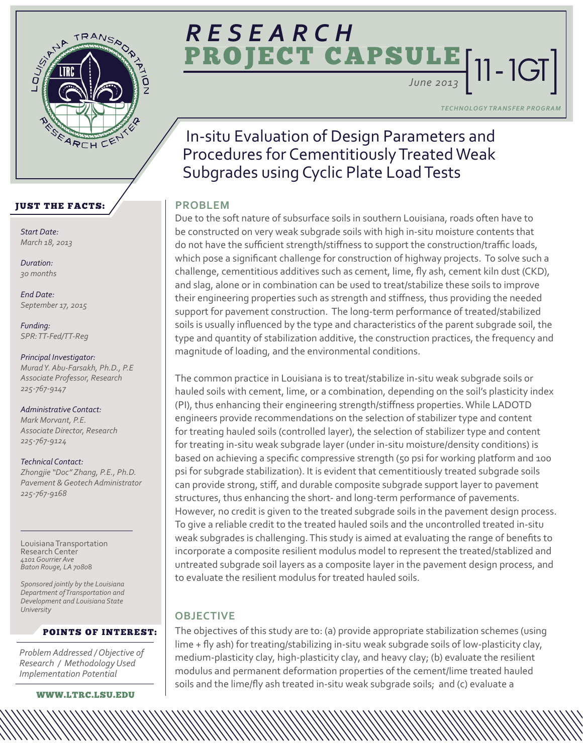

## **ULE** [11 - 1GT] **ECT CA** *RESEARCH*

**TECHNOLOGY TRANSFER PROGRA** 

## In-situ Evaluation of Design Parameters and Procedures for Cementitiously Treated Weak Subgrades using Cyclic Plate Load Tests

## **PROBLEM**

Due to the soft nature of subsurface soils in southern Louisiana, roads often have to be constructed on very weak subgrade soils with high in-situ moisture contents that do not have the sufficient strength/stiffness to support the construction/traffic loads, which pose a significant challenge for construction of highway projects. To solve such a challenge, cementitious additives such as cement, lime, fly ash, cement kiln dust (CKD), and slag, alone or in combination can be used to treat/stabilize these soils to improve their engineering properties such as strength and stiffness, thus providing the needed support for pavement construction. The long-term performance of treated/stabilized soils is usually influenced by the type and characteristics of the parent subgrade soil, the type and quantity of stabilization additive, the construction practices, the frequency and magnitude of loading, and the environmental conditions.

The common practice in Louisiana is to treat/stabilize in-situ weak subgrade soils or hauled soils with cement, lime, or a combination, depending on the soil's plasticity index (PI), thus enhancing their engineering strength/stiffness properties. While LADOTD engineers provide recommendations on the selection of stabilizer type and content for treating hauled soils (controlled layer), the selection of stabilizer type and content for treating in-situ weak subgrade layer (under in-situ moisture/density conditions) is based on achieving a specific compressive strength (50 psi for working platform and 100 psi for subgrade stabilization). It is evident that cementitiously treated subgrade soils can provide strong, stiff, and durable composite subgrade support layer to pavement structures, thus enhancing the short- and long-term performance of pavements. However, no credit is given to the treated subgrade soils in the pavement design process. To give a reliable credit to the treated hauled soils and the uncontrolled treated in-situ weak subgrades is challenging. This study is aimed at evaluating the range of benefits to incorporate a composite resilient modulus model to represent the treated/stablized and untreated subgrade soil layers as a composite layer in the pavement design process, and to evaluate the resilient modulus for treated hauled soils.

## **OBJECTIVE**

The objectives of this study are to: (a) provide appropriate stabilization schemes (using lime + fly ash) for treating/stabilizing in-situ weak subgrade soils of low-plasticity clay, medium-plasticity clay, high-plasticity clay, and heavy clay; (b) evaluate the resilient modulus and permanent deformation properties of the cement/lime treated hauled soils and the lime/fly ash treated in-situ weak subgrade soils; and (c) evaluate a

## JUST THE FACTS:

*Start Date: March 18, 2013* 

*Duration: 30 months* 

*End Date: September 17, 2015* 

*Funding: SPR: TT-Fed/TT-Reg* 

#### *Principal Investigator:*

*Murad Y. Abu-Farsakh, Ph.D., P.E Associate Professor, Research 225-767-9147* 

*Administrative Contact: Mark Morvant, P.E. Associate Director, Research 225-767-9124* 

*Technical Contact: Zhongjie "Doc" Zhang, P.E., Ph.D. Pavement & Geotech Administrator 225-767-9168* 

Louisiana Transportation Research Center *4101 Gourrier Ave Baton Rouge, LA 7080*8

*Sponsored jointly by the Louisiana Department of Transportation and Development and Louisiana State University* 

#### POINTS OF INTEREST:

*Problem Addressed / Objective of Research / Methodology Used Implementation Potential* 

<WWW.LTRC.LSU.EDU>